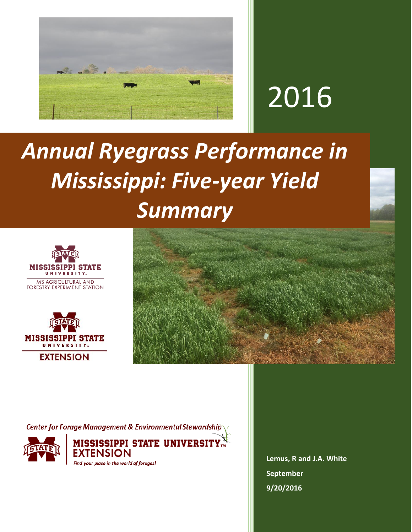

## 2016

## *Annual Ryegrass Performance in Mississippi: Five-year Yield Summary*







**Center for Forage Management & Environmental Stewardship** 



MISSISSIPPI STATE UNIVERSITY $_{\rm w}^{\scriptscriptstyle \times}$ Find your place in the world of forages!

**Lemus, R and J.A. White September 9/20/2016**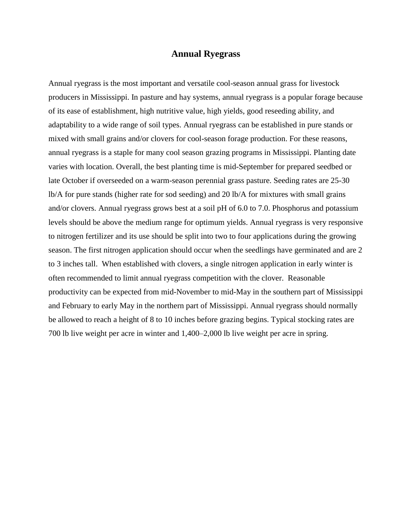## **Annual Ryegrass**

Annual ryegrass is the most important and versatile cool-season annual grass for livestock producers in Mississippi. In pasture and hay systems, annual ryegrass is a popular forage because of its ease of establishment, high nutritive value, high yields, good reseeding ability, and adaptability to a wide range of soil types. Annual ryegrass can be established in pure stands or mixed with small grains and/or clovers for cool-season forage production. For these reasons, annual ryegrass is a staple for many cool season grazing programs in Mississippi. Planting date varies with location. Overall, the best planting time is mid-September for prepared seedbed or late October if overseeded on a warm-season perennial grass pasture. Seeding rates are 25-30 lb/A for pure stands (higher rate for sod seeding) and 20 lb/A for mixtures with small grains and/or clovers. Annual ryegrass grows best at a soil pH of 6.0 to 7.0. Phosphorus and potassium levels should be above the medium range for optimum yields. Annual ryegrass is very responsive to nitrogen fertilizer and its use should be split into two to four applications during the growing season. The first nitrogen application should occur when the seedlings have germinated and are 2 to 3 inches tall. When established with clovers, a single nitrogen application in early winter is often recommended to limit annual ryegrass competition with the clover. Reasonable productivity can be expected from mid-November to mid-May in the southern part of Mississippi and February to early May in the northern part of Mississippi. Annual ryegrass should normally be allowed to reach a height of 8 to 10 inches before grazing begins. Typical stocking rates are 700 lb live weight per acre in winter and 1,400–2,000 lb live weight per acre in spring.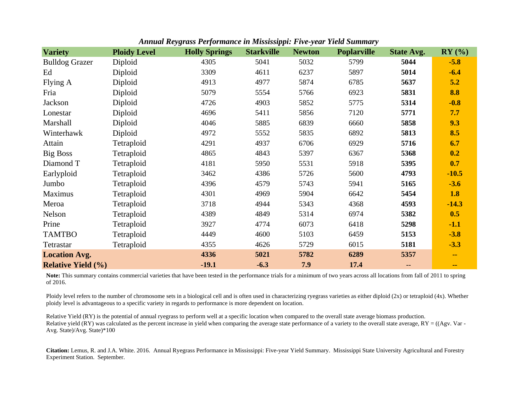|                           |                     | woo = 0. joi mantee ni nzioolooppii = 1. e jean |                   |               |                    |                   |          |
|---------------------------|---------------------|-------------------------------------------------|-------------------|---------------|--------------------|-------------------|----------|
| <b>Variety</b>            | <b>Ploidy Level</b> | <b>Holly Springs</b>                            | <b>Starkville</b> | <b>Newton</b> | <b>Poplarville</b> | <b>State Avg.</b> | $RY$ (%) |
| <b>Bulldog Grazer</b>     | Diploid             | 4305                                            | 5041              | 5032          | 5799               | 5044              | $-5.8$   |
| Ed                        | Diploid             | 3309                                            | 4611              | 6237          | 5897               | 5014              | $-6.4$   |
| Flying A                  | Diploid             | 4913                                            | 4977              | 5874          | 6785               | 5637              | 5.2      |
| Fria                      | Diploid             | 5079                                            | 5554              | 5766          | 6923               | 5831              | 8.8      |
| Jackson                   | Diploid             | 4726                                            | 4903              | 5852          | 5775               | 5314              | $-0.8$   |
| Lonestar                  | Diploid             | 4696                                            | 5411              | 5856          | 7120               | 5771              | 7.7      |
| Marshall                  | Diploid             | 4046                                            | 5885              | 6839          | 6660               | 5858              | 9.3      |
| Winterhawk                | Diploid             | 4972                                            | 5552              | 5835          | 6892               | 5813              | 8.5      |
| Attain                    | Tetraploid          | 4291                                            | 4937              | 6706          | 6929               | 5716              | 6.7      |
| <b>Big Boss</b>           | Tetraploid          | 4865                                            | 4843              | 5397          | 6367               | 5368              | 0.2      |
| Diamond T                 | Tetraploid          | 4181                                            | 5950              | 5531          | 5918               | 5395              | 0.7      |
| Earlyploid                | Tetraploid          | 3462                                            | 4386              | 5726          | 5600               | 4793              | $-10.5$  |
| Jumbo                     | Tetraploid          | 4396                                            | 4579              | 5743          | 5941               | 5165              | $-3.6$   |
| Maximus                   | Tetraploid          | 4301                                            | 4969              | 5904          | 6642               | 5454              | 1.8      |
| Meroa                     | Tetraploid          | 3718                                            | 4944              | 5343          | 4368               | 4593              | $-14.3$  |
| Nelson                    | Tetraploid          | 4389                                            | 4849              | 5314          | 6974               | 5382              | 0.5      |
| Prine                     | Tetraploid          | 3927                                            | 4774              | 6073          | 6418               | 5298              | $-1.1$   |
| <b>TAMTBO</b>             | Tetraploid          | 4449                                            | 4600              | 5103          | 6459               | 5153              | $-3.8$   |
| Tetrastar                 | Tetraploid          | 4355                                            | 4626              | 5729          | 6015               | 5181              | $-3.3$   |
| <b>Location Avg.</b>      |                     | 4336                                            | 5021              | 5782          | 6289               | 5357              | $\sim$   |
| <b>Relative Yield (%)</b> |                     | $-19.1$                                         | $-6.3$            | 7.9           | 17.4               | --                | $\sim$   |

*Annual Reygrass Performance in Mississippi: Five-year Yield Summary*

Note: This summary contains commercial varieties that have been tested in the performance trials for a minimum of two years across all locations from fall of 2011 to spring of 2016.

Ploidy level refers to the number of chromosome sets in a biological cell and is often used in characterizing ryegrass varieties as either diploid (2x) or tetraploid (4x). Whether ploidy level is advantageous to a specific variety in regards to performance is more dependent on location.

Relative Yield (RY) is the potential of annual ryegrass to perform well at a specific location when compared to the overall state average biomass production. Relative yield (RY) was calculated as the percent increase in yield when comparing the average state performance of a variety to the overall state average, RY = ((Agv. Var -Avg. State)/Avg. State)\*100

**Citation:** Lemus, R. and J.A. White. 2016. Annual Ryegrass Performance in Mississippi: Five-year Yield Summary. Mississippi State University Agricultural and Forestry Experiment Station. September.